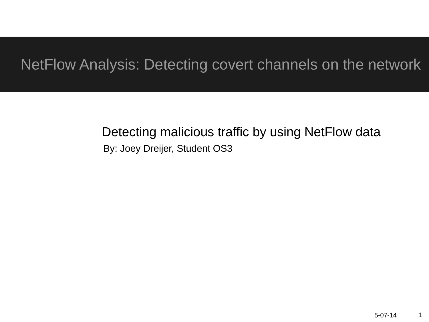#### NetFlow Analysis: Detecting covert channels on the network

#### By: Joey Dreijer, Student OS3 Detecting malicious traffic by using NetFlow data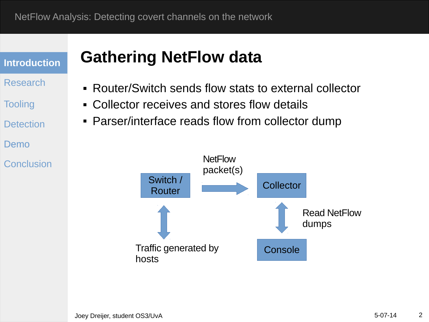- Research
- **Tooling**
- **Detection**
- Demo
- Conclusion

### **Gathering NetFlow data**

- Router/Switch sends flow stats to external collector
- Collector receives and stores flow details
- Parser/interface reads flow from collector dump

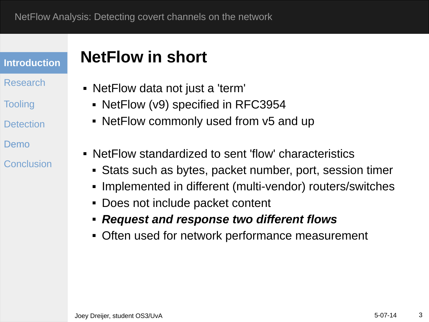- Research
- **Tooling**
- **Detection**
- Demo
- Conclusion

#### **NetFlow in short**

- NetFlow data not just a 'term'
	- NetFlow (v9) specified in RFC3954
	- NetFlow commonly used from v5 and up
- NetFlow standardized to sent 'flow' characteristics
	- Stats such as bytes, packet number, port, session timer
	- Implemented in different (multi-vendor) routers/switches
	- Does not include packet content
	- *Request and response two different flows*
	- Often used for network performance measurement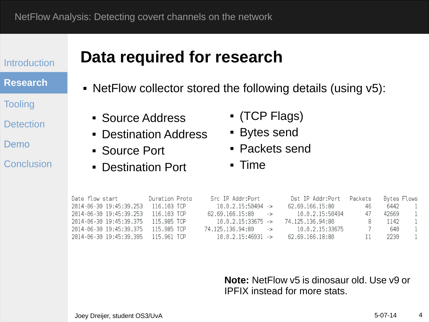#### **Research**

**Tooling** 

**Detection** 

Demo

Conclusion

### **Data required for research**

- NetFlow collector stored the following details (using v5):
	- **Source Address**
	- Destination Address
	- Source Port
	- Destination Port
- (TCP Flags)
- Bytes send
- Packets send
- Time

| Date flow start                     | Duration Proto | Src IP Addr:Port      | Dst IP Addr:Port | Packets | Bytes Flows |  |
|-------------------------------------|----------------|-----------------------|------------------|---------|-------------|--|
| 2014-06-30 19:45:39.253             | 116.103 TCP    | 10.0.2.15:50494 ->    | 62.69.166.15:80  | 46      | 6442        |  |
| 2014-06-30 19:45:39.253 116.103 TCP |                | $62.69.166.15:80$ ->  | 10.0.2.15:50494  | 47      | 42669       |  |
| 2014-06-30 19:45:39.375 115.985 TCP |                | $10.0.2.15:33675$ ->  | 74.125.136.94.80 |         | 1142        |  |
| 2014-06-30 19:45:39.375 115.985 TCP |                | 74.125.136.94:80 ->   | 10.0.2.15:33675  |         | 640.        |  |
| 2014-06-30 19:45:39.395 115.961 TCP |                | $10.0.2.15:46931 - >$ | 62.69.166.18.80  |         | 2230        |  |

**Note:** NetFlow v5 is dinosaur old. Use v9 or IPFIX instead for more stats.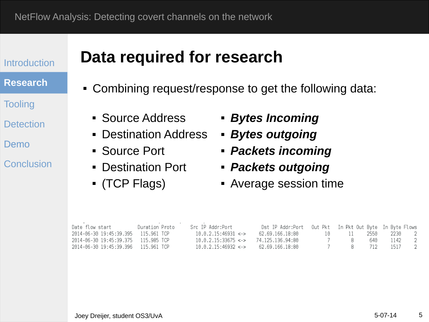#### **Research**

**Tooling** 

**Detection** 

Demo

Conclusion

#### **Data required for research**

- Combining request/response to get the following data:
	- **Source Address**
	- Destination Address
	- Source Port
	- Destination Port
	- (TCP Flags)
- *Bytes Incoming*
- *Bytes outgoing*
- *Packets incoming*
- *Packets outgoing*
- Average session time

| Date flow start                     | Duration Proto | Src IP Addr:Port                                   | Dst IP Addr:Port 0ut Pkt In Pkt 0ut Byte In Byte Flows |  |                |  |
|-------------------------------------|----------------|----------------------------------------------------|--------------------------------------------------------|--|----------------|--|
| 2014-06-30 19:45:39.395 115.961 TCP |                | $10.0.2.15:46931 \leq z$                           |                                                        |  |                |  |
| 2014-06-30 19:45:39.375 115.985 TCP |                | $10.0.2.15:33675 \leftrightarrow 74.125.136.94:80$ |                                                        |  | 7 8 640 1142 2 |  |
| 2014-06-30 19:45:39.396 115.961 TCP |                | $10.0.2.15:46932 < -$                              | 62.69.166.18:80                                        |  | 7 8 712 1517 2 |  |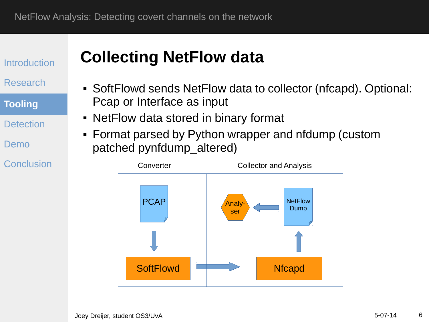Research

**Tooling**

**Detection** 

Demo

Conclusion

### **Collecting NetFlow data**

- SoftFlowd sends NetFlow data to collector (nfcapd). Optional: Pcap or Interface as input
- NetFlow data stored in binary format
- Format parsed by Python wrapper and nfdump (custom patched pynfdump\_altered)

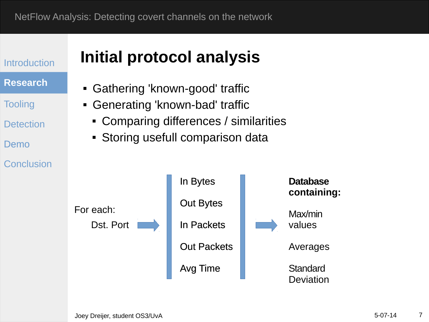**Introduction Research Tooling Detection** Demo Conclusion Dst. Port For each:

## **Initial protocol analysis**

- Gathering 'known-good' traffic
- Generating 'known-bad' traffic
	- Comparing differences / similarities
	- **Storing usefull comparison data**

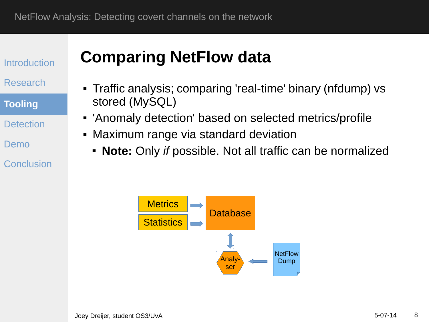Research

**Tooling**

**Detection** 

Demo

Conclusion

#### **Comparing NetFlow data**

- Traffic analysis; comparing 'real-time' binary (nfdump) vs stored (MySQL)
- 'Anomaly detection' based on selected metrics/profile
- Maximum range via standard deviation
	- **Note:** Only *if* possible. Not all traffic can be normalized

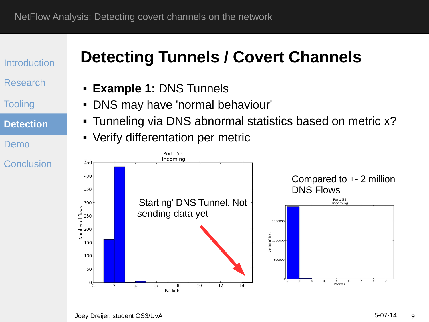Research

**Tooling** 

**Detection**

Demo

Conclusion

### **Detecting Tunnels / Covert Channels**

- **Example 1:** DNS Tunnels
- DNS may have 'normal behaviour'
- Tunneling via DNS abnormal statistics based on metric x?
- Verify differentation per metric

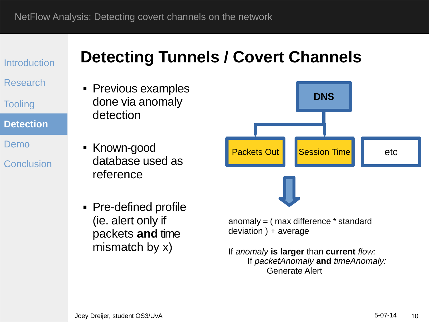Research

**Tooling** 

**Detection**

Demo

Conclusion

### **Detecting Tunnels / Covert Channels**

• Previous examples done via anomaly detection

• Known-good database used as reference

• Pre-defined profile (ie. alert only if packets **and** time mismatch by x)

anomaly = ( max difference \* standard deviation ) + average

**DNS**

Packets Out Session Time

If *anomaly* **is larger** than **current** *flow:* If *packetAnomaly* **and** *timeAnomaly:* Generate Alert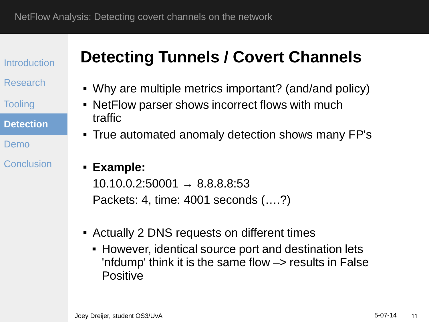Research

**Tooling** 

**Detection**

Demo

Conclusion

### **Detecting Tunnels / Covert Channels**

- Why are multiple metrics important? (and/and policy)
- NetFlow parser shows incorrect flows with much traffic
- True automated anomaly detection shows many FP's

#### **Example:**

 $10.10.0.2:50001 \rightarrow 8.8.8.8:53$ Packets: 4, time: 4001 seconds (….?)

- Actually 2 DNS requests on different times
	- However, identical source port and destination lets 'nfdump' think it is the same flow  $\rightarrow$  results in False Positive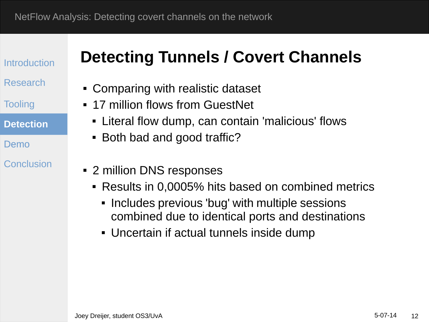Research

**Tooling** 

**Detection**

Demo

#### Conclusion

## **Detecting Tunnels / Covert Channels**

- Comparing with realistic dataset
- **17 million flows from GuestNet** 
	- Literal flow dump, can contain 'malicious' flows
	- Both bad and good traffic?
- 2 million DNS responses
	- Results in 0,0005% hits based on combined metrics
		- **Includes previous 'bug' with multiple sessions** combined due to identical ports and destinations
		- Uncertain if actual tunnels inside dump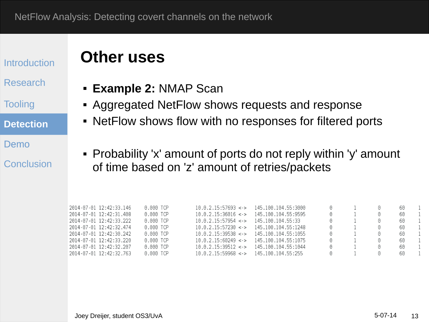#### Research

**Tooling** 

**Detection**

Demo

Conclusion

#### **Other uses**

- **Example 2:** NMAP Scan
- Aggregated NetFlow shows requests and response
- NetFlow shows flow with no responses for filtered ports
- Probability 'x' amount of ports do not reply within 'y' amount of time based on 'z' amount of retries/packets

| 2014-07-01 12:42:33.146 | 0.000 TCP | 10.0.2.15:57693 <     | 145 100 104 55 3000 | $\Theta$               |                      | 60 |  |
|-------------------------|-----------|-----------------------|---------------------|------------------------|----------------------|----|--|
| 2014-07-01 12:42:31.408 | 0.000 TCP | $10.0.2.15:36016$ < > | 145 100 104 55 9595 |                        | Θ                    | 60 |  |
| 2014-07-01 12:42:33.222 | 0.000 TCP | 10.0.2.15:57954 <     | 145.100.104.55:33   | 0                      | $\Theta$             | 60 |  |
| 2014-07-01 12:42:32.474 | 0.000 TCP | 10.0.2.15:57230 <     | 145.100.104.55:1248 |                        | $\left(\cdot\right)$ | 60 |  |
| 2014-07-01 12:42:30.242 | 0.000 TCP | $10.0.2.15:39538 < -$ | 145.100.104.55:1055 | $\left( \cdot \right)$ | $^{(1)}$             | 60 |  |
| 2014-07-01 12:42:33.220 | 0.000 TCP | $10.0.2.15:60249 <$ > | 145.100.104.55:1075 |                        | $(\cdot)$            | 60 |  |
| 2014-07-01 12:42:32.207 | 0.000 TCP | $10.0.2.15:39512 <$ > | 145.100.104.55:1044 | $\left[ \cdot \right]$ | $^{(1)}$             | 60 |  |
| 2014-07-01 12:42:32.763 | 0.000 TCP | 10.0.2.15:59968 <     | 145.100.104.55:255  | (1)                    | $(\cdot)$            | 60 |  |
|                         |           |                       |                     |                        |                      |    |  |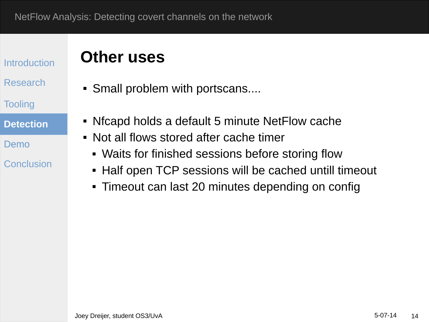#### Research

**Tooling** 

**Detection**

Demo

Conclusion

#### **Other uses**

- Small problem with portscans....
- Nfcapd holds a default 5 minute NetFlow cache
- Not all flows stored after cache timer
	- Waits for finished sessions before storing flow
	- Half open TCP sessions will be cached untill timeout
	- Timeout can last 20 minutes depending on config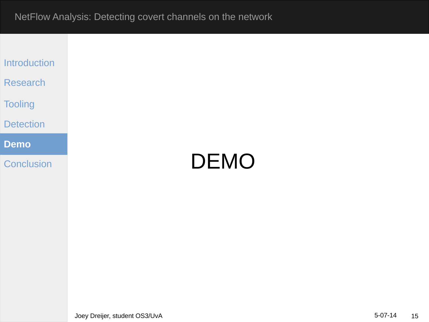| <b>Introduction</b> |
|---------------------|
|                     |

Research

**Tooling** 

#### Detection

Demo **Demo**

**Conclusion** 

# DEMO

Joey Dreijer, student OS3/UvA 15